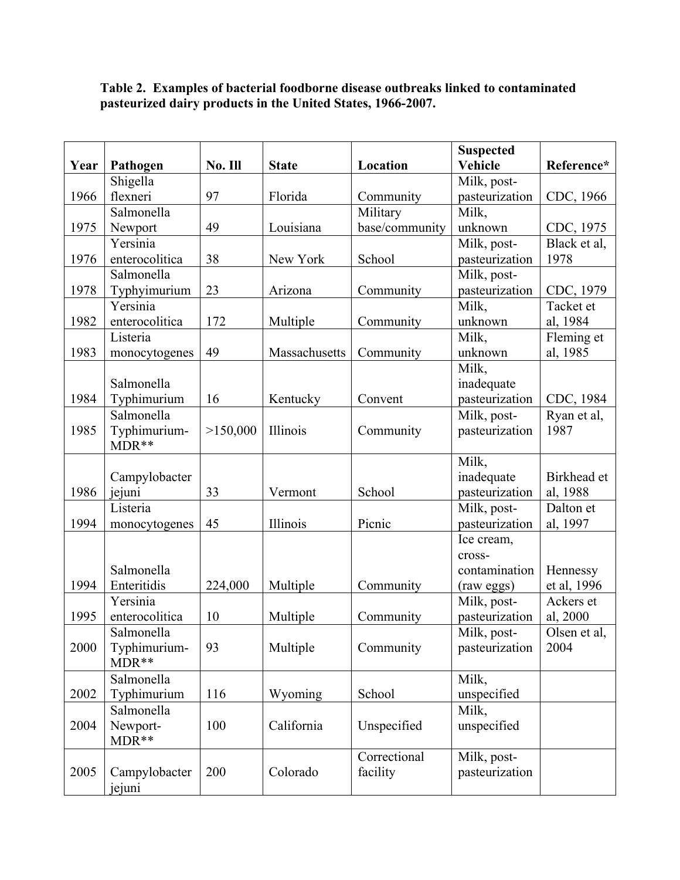|      |                |          |               |                | <b>Suspected</b>          |                          |
|------|----------------|----------|---------------|----------------|---------------------------|--------------------------|
| Year | Pathogen       | No. Ill  | <b>State</b>  | Location       | <b>Vehicle</b>            | Reference*               |
|      | Shigella       |          |               |                | Milk, post-               |                          |
| 1966 | flexneri       | 97       | Florida       | Community      | pasteurization            | CDC, 1966                |
|      | Salmonella     |          |               | Military       | Milk,                     |                          |
| 1975 | Newport        | 49       | Louisiana     | base/community | unknown                   | CDC, 1975                |
|      | Yersinia       |          |               |                | Milk, post-               | Black et al,             |
| 1976 | enterocolitica | 38       | New York      | School         | pasteurization            | 1978                     |
|      | Salmonella     |          |               |                | Milk, post-               |                          |
| 1978 | Typhyimurium   | 23       | Arizona       | Community      | pasteurization            | CDC, 1979                |
|      | Yersinia       |          |               |                | Milk,                     | Tacket et                |
| 1982 | enterocolitica | 172      | Multiple      | Community      | unknown                   | al, 1984                 |
|      | Listeria       |          |               |                | Milk,                     | Fleming et               |
| 1983 | monocytogenes  | 49       | Massachusetts | Community      | unknown                   | al, 1985                 |
|      |                |          |               |                | Milk,                     |                          |
|      | Salmonella     |          |               |                | inadequate                |                          |
| 1984 | Typhimurium    | 16       | Kentucky      | Convent        | pasteurization            | CDC, 1984                |
|      | Salmonella     |          |               |                | Milk, post-               | Ryan et al,              |
| 1985 | Typhimurium-   | >150,000 | Illinois      | Community      | pasteurization            | 1987                     |
|      | MDR**          |          |               |                |                           |                          |
|      |                |          |               |                | Milk,                     |                          |
|      | Campylobacter  |          |               |                | inadequate                | Birkhead et              |
| 1986 | jejuni         | 33       | Vermont       | School         | pasteurization            | al, 1988                 |
|      | Listeria       |          |               |                | Milk, post-               | Dalton et                |
| 1994 | monocytogenes  | 45       | Illinois      | Picnic         | pasteurization            | al, 1997                 |
|      |                |          |               |                | Ice cream,                |                          |
|      | Salmonella     |          |               |                | cross-                    |                          |
| 1994 | Enteritidis    |          |               |                | contamination             | Hennessy                 |
|      | Yersinia       | 224,000  | Multiple      | Community      | (raw eggs)<br>Milk, post- | et al, 1996<br>Ackers et |
| 1995 | enterocolitica | 10       | Multiple      | Community      | pasteurization            | al, 2000                 |
|      | Salmonella     |          |               |                | Milk, post-               | Olsen et al.             |
| 2000 | Typhimurium-   | 93       | Multiple      | Community      | pasteurization            | 2004                     |
|      | MDR**          |          |               |                |                           |                          |
|      | Salmonella     |          |               |                | Milk,                     |                          |
| 2002 | Typhimurium    | 116      | Wyoming       | School         | unspecified               |                          |
|      | Salmonella     |          |               |                | Milk,                     |                          |
| 2004 | Newport-       | 100      | California    | Unspecified    | unspecified               |                          |
|      | MDR**          |          |               |                |                           |                          |
|      |                |          |               | Correctional   | Milk, post-               |                          |
| 2005 | Campylobacter  | 200      | Colorado      | facility       | pasteurization            |                          |
|      | jejuni         |          |               |                |                           |                          |

## **Table 2. Examples of bacterial foodborne disease outbreaks linked to contaminated pasteurized dairy products in the United States, 1966-2007.**